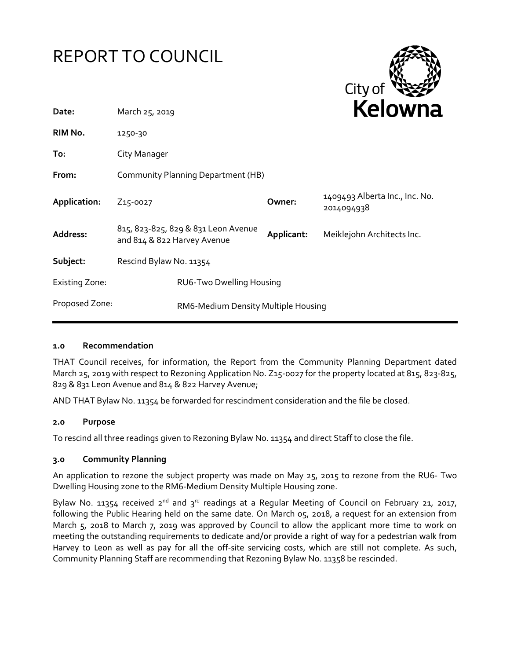



| Date:                 | March 25, 2019                                                     |                          |            | <b>Neluwii</b> d                             |
|-----------------------|--------------------------------------------------------------------|--------------------------|------------|----------------------------------------------|
| RIM No.               | 1250-30                                                            |                          |            |                                              |
| To:                   | City Manager                                                       |                          |            |                                              |
| From:                 | Community Planning Department (HB)                                 |                          |            |                                              |
| Application:          | Z <sub>15</sub> -0027                                              |                          | Owner:     | 1409493 Alberta Inc., Inc. No.<br>2014094938 |
| Address:              | 815, 823-825, 829 & 831 Leon Avenue<br>and 814 & 822 Harvey Avenue |                          | Applicant: | Meiklejohn Architects Inc.                   |
| Subject:              | Rescind Bylaw No. 11354                                            |                          |            |                                              |
| <b>Existing Zone:</b> |                                                                    | RU6-Two Dwelling Housing |            |                                              |
| Proposed Zone:        | RM6-Medium Density Multiple Housing                                |                          |            |                                              |
|                       |                                                                    |                          |            |                                              |

## **1.0 Recommendation**

THAT Council receives, for information, the Report from the Community Planning Department dated March 25, 2019 with respect to Rezoning Application No. Z15-0027 for the property located at 815, 823-825, 829 & 831 Leon Avenue and 814 & 822 Harvey Avenue;

AND THAT Bylaw No. 11354 be forwarded for rescindment consideration and the file be closed.

## **2.0 Purpose**

To rescind all three readings given to Rezoning Bylaw No. 11354 and direct Staff to close the file.

## **3.0 Community Planning**

An application to rezone the subject property was made on May 25, 2015 to rezone from the RU6- Two Dwelling Housing zone to the RM6-Medium Density Multiple Housing zone.

Bylaw No. 11354 received  $2^{nd}$  and  $3^{rd}$  readings at a Regular Meeting of Council on February 21, 2017, following the Public Hearing held on the same date. On March 05, 2018, a request for an extension from March 5, 2018 to March 7, 2019 was approved by Council to allow the applicant more time to work on meeting the outstanding requirements to dedicate and/or provide a right of way for a pedestrian walk from Harvey to Leon as well as pay for all the off-site servicing costs, which are still not complete. As such, Community Planning Staff are recommending that Rezoning Bylaw No. 11358 be rescinded.